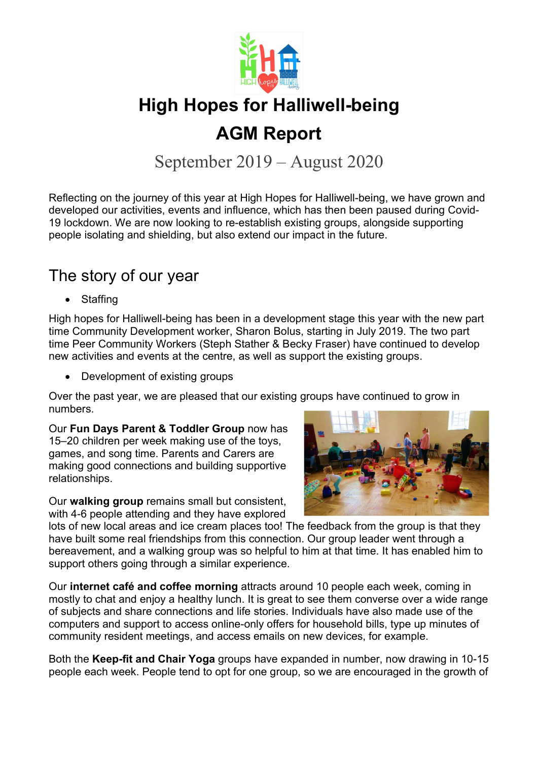

## AGM Report

September 2019 – August 2020

Reflecting on the journey of this year at High Hopes for Halliwell-being, we have grown and developed our activities, events and influence, which has then been paused during Covid-19 lockdown. We are now looking to re-establish existing groups, alongside supporting people isolating and shielding, but also extend our impact in the future.

#### The story of our year

Staffing

High hopes for Halliwell-being has been in a development stage this year with the new part time Community Development worker, Sharon Bolus, starting in July 2019. The two part time Peer Community Workers (Steph Stather & Becky Fraser) have continued to develop new activities and events at the centre, as well as support the existing groups.

• Development of existing groups

Over the past year, we are pleased that our existing groups have continued to grow in numbers.

Our Fun Days Parent & Toddler Group now has 15–20 children per week making use of the toys, games, and song time. Parents and Carers are making good connections and building supportive relationships.

Our walking group remains small but consistent. with 4-6 people attending and they have explored



lots of new local areas and ice cream places too! The feedback from the group is that they have built some real friendships from this connection. Our group leader went through a bereavement, and a walking group was so helpful to him at that time. It has enabled him to support others going through a similar experience.

Our internet café and coffee morning attracts around 10 people each week, coming in mostly to chat and enjoy a healthy lunch. It is great to see them converse over a wide range of subjects and share connections and life stories. Individuals have also made use of the computers and support to access online-only offers for household bills, type up minutes of community resident meetings, and access emails on new devices, for example.

Both the Keep-fit and Chair Yoga groups have expanded in number, now drawing in 10-15 people each week. People tend to opt for one group, so we are encouraged in the growth of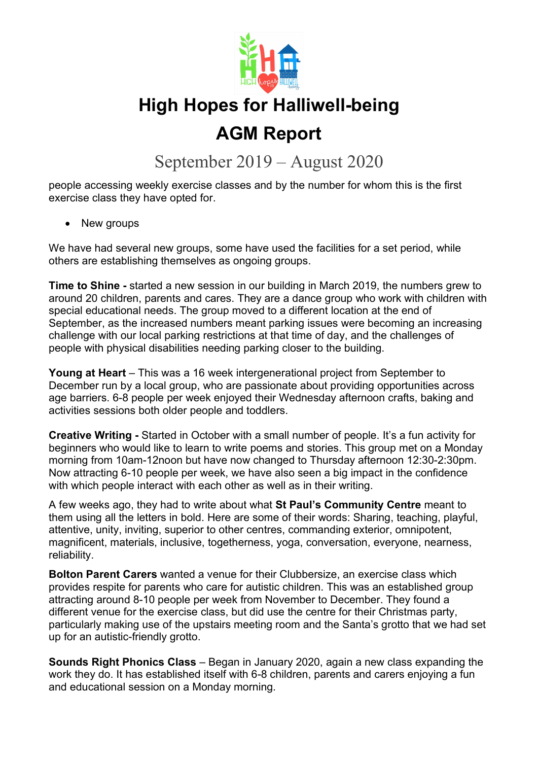

## AGM Report

September 2019 – August 2020

people accessing weekly exercise classes and by the number for whom this is the first exercise class they have opted for.

• New groups

We have had several new groups, some have used the facilities for a set period, while others are establishing themselves as ongoing groups.

Time to Shine - started a new session in our building in March 2019, the numbers grew to around 20 children, parents and cares. They are a dance group who work with children with special educational needs. The group moved to a different location at the end of September, as the increased numbers meant parking issues were becoming an increasing challenge with our local parking restrictions at that time of day, and the challenges of people with physical disabilities needing parking closer to the building.

Young at Heart – This was a 16 week intergenerational project from September to December run by a local group, who are passionate about providing opportunities across age barriers. 6-8 people per week enjoyed their Wednesday afternoon crafts, baking and activities sessions both older people and toddlers.

Creative Writing - Started in October with a small number of people. It's a fun activity for beginners who would like to learn to write poems and stories. This group met on a Monday morning from 10am-12noon but have now changed to Thursday afternoon 12:30-2:30pm. Now attracting 6-10 people per week, we have also seen a big impact in the confidence with which people interact with each other as well as in their writing.

A few weeks ago, they had to write about what St Paul's Community Centre meant to them using all the letters in bold. Here are some of their words: Sharing, teaching, playful, attentive, unity, inviting, superior to other centres, commanding exterior, omnipotent, magnificent, materials, inclusive, togetherness, yoga, conversation, everyone, nearness, reliability.

Bolton Parent Carers wanted a venue for their Clubbersize, an exercise class which provides respite for parents who care for autistic children. This was an established group attracting around 8-10 people per week from November to December. They found a different venue for the exercise class, but did use the centre for their Christmas party, particularly making use of the upstairs meeting room and the Santa's grotto that we had set up for an autistic-friendly grotto.

Sounds Right Phonics Class – Began in January 2020, again a new class expanding the work they do. It has established itself with 6-8 children, parents and carers enjoying a fun and educational session on a Monday morning.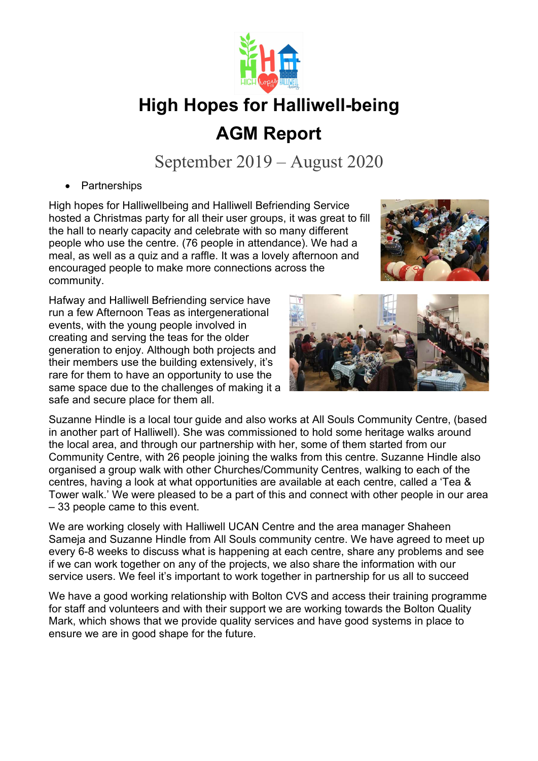

## High Hopes for Halliwell-being AGM Report

September 2019 – August 2020

**Partnerships** 

High hopes for Halliwellbeing and Halliwell Befriending Service hosted a Christmas party for all their user groups, it was great to fill the hall to nearly capacity and celebrate with so many different people who use the centre. (76 people in attendance). We had a meal, as well as a quiz and a raffle. It was a lovely afternoon and encouraged people to make more connections across the community.

Hafway and Halliwell Befriending service have run a few Afternoon Teas as intergenerational events, with the young people involved in creating and serving the teas for the older generation to enjoy. Although both projects and their members use the building extensively, it's rare for them to have an opportunity to use the same space due to the challenges of making it a safe and secure place for them all.



Suzanne Hindle is a local tour guide and also works at All Souls Community Centre, (based in another part of Halliwell). She was commissioned to hold some heritage walks around the local area, and through our partnership with her, some of them started from our Community Centre, with 26 people joining the walks from this centre. Suzanne Hindle also organised a group walk with other Churches/Community Centres, walking to each of the centres, having a look at what opportunities are available at each centre, called a 'Tea & Tower walk.' We were pleased to be a part of this and connect with other people in our area – 33 people came to this event.

We are working closely with Halliwell UCAN Centre and the area manager Shaheen Sameja and Suzanne Hindle from All Souls community centre. We have agreed to meet up every 6-8 weeks to discuss what is happening at each centre, share any problems and see if we can work together on any of the projects, we also share the information with our service users. We feel it's important to work together in partnership for us all to succeed

We have a good working relationship with Bolton CVS and access their training programme for staff and volunteers and with their support we are working towards the Bolton Quality Mark, which shows that we provide quality services and have good systems in place to ensure we are in good shape for the future.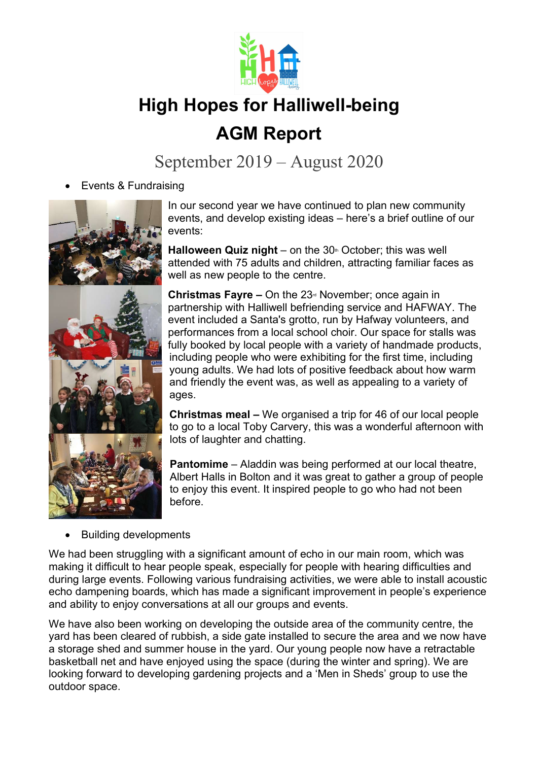

## AGM Report

September 2019 – August 2020

Events & Fundraising



In our second year we have continued to plan new community events, and develop existing ideas – here's a brief outline of our events:

Halloween Quiz night – on the  $30<sup>th</sup>$  October; this was well attended with 75 adults and children, attracting familiar faces as well as new people to the centre.

**Christmas Fayre –** On the  $23<sup>d</sup>$  November; once again in partnership with Halliwell befriending service and HAFWAY. The event included a Santa's grotto, run by Hafway volunteers, and performances from a local school choir. Our space for stalls was fully booked by local people with a variety of handmade products, including people who were exhibiting for the first time, including young adults. We had lots of positive feedback about how warm and friendly the event was, as well as appealing to a variety of ages.

Christmas meal – We organised a trip for 46 of our local people to go to a local Toby Carvery, this was a wonderful afternoon with lots of laughter and chatting.

Pantomime – Aladdin was being performed at our local theatre, Albert Halls in Bolton and it was great to gather a group of people to enjoy this event. It inspired people to go who had not been before.

Building developments

We had been struggling with a significant amount of echo in our main room, which was making it difficult to hear people speak, especially for people with hearing difficulties and during large events. Following various fundraising activities, we were able to install acoustic echo dampening boards, which has made a significant improvement in people's experience and ability to enjoy conversations at all our groups and events.

We have also been working on developing the outside area of the community centre, the yard has been cleared of rubbish, a side gate installed to secure the area and we now have a storage shed and summer house in the yard. Our young people now have a retractable basketball net and have enjoyed using the space (during the winter and spring). We are looking forward to developing gardening projects and a 'Men in Sheds' group to use the outdoor space.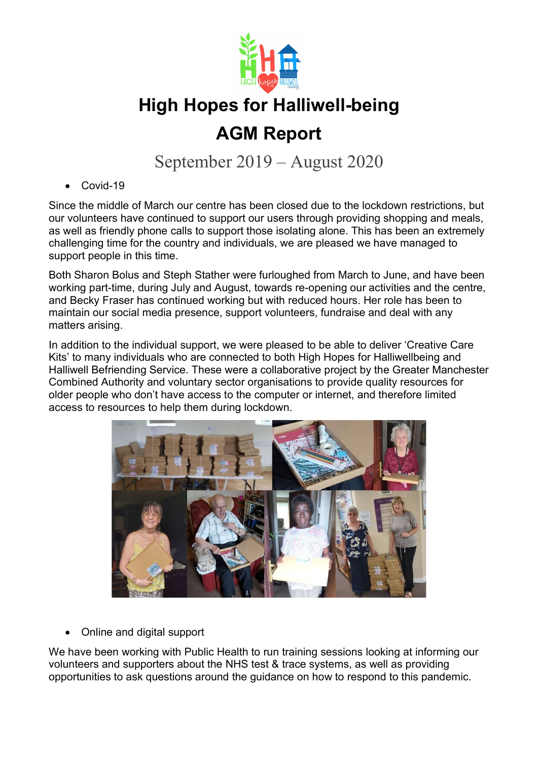

## AGM Report

September 2019 – August 2020

Covid-19

Since the middle of March our centre has been closed due to the lockdown restrictions, but our volunteers have continued to support our users through providing shopping and meals, as well as friendly phone calls to support those isolating alone. This has been an extremely challenging time for the country and individuals, we are pleased we have managed to support people in this time.

Both Sharon Bolus and Steph Stather were furloughed from March to June, and have been working part-time, during July and August, towards re-opening our activities and the centre, and Becky Fraser has continued working but with reduced hours. Her role has been to maintain our social media presence, support volunteers, fundraise and deal with any matters arising.

In addition to the individual support, we were pleased to be able to deliver 'Creative Care Kits' to many individuals who are connected to both High Hopes for Halliwellbeing and Halliwell Befriending Service. These were a collaborative project by the Greater Manchester Combined Authority and voluntary sector organisations to provide quality resources for older people who don't have access to the computer or internet, and therefore limited access to resources to help them during lockdown.



Online and digital support

We have been working with Public Health to run training sessions looking at informing our volunteers and supporters about the NHS test & trace systems, as well as providing opportunities to ask questions around the guidance on how to respond to this pandemic.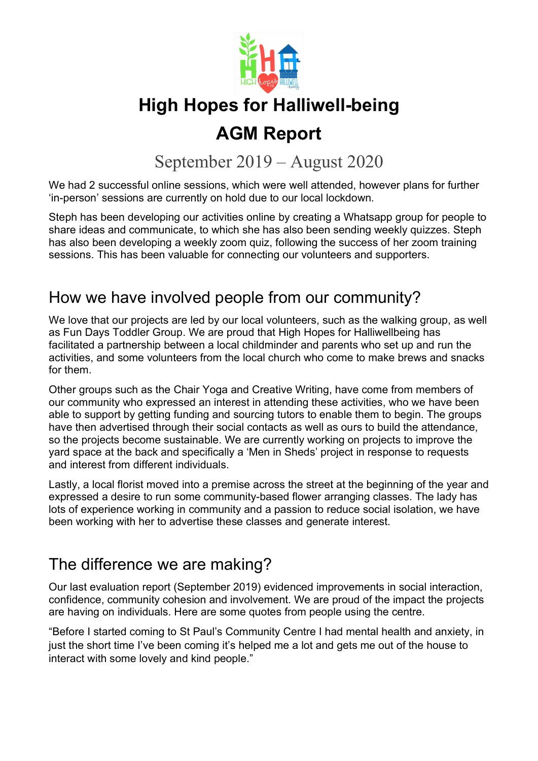

## AGM Report

September 2019 – August 2020

We had 2 successful online sessions, which were well attended, however plans for further 'in-person' sessions are currently on hold due to our local lockdown.

Steph has been developing our activities online by creating a Whatsapp group for people to share ideas and communicate, to which she has also been sending weekly quizzes. Steph has also been developing a weekly zoom quiz, following the success of her zoom training sessions. This has been valuable for connecting our volunteers and supporters.

### How we have involved people from our community?

We love that our projects are led by our local volunteers, such as the walking group, as well as Fun Days Toddler Group. We are proud that High Hopes for Halliwellbeing has facilitated a partnership between a local childminder and parents who set up and run the activities, and some volunteers from the local church who come to make brews and snacks for them.

Other groups such as the Chair Yoga and Creative Writing, have come from members of our community who expressed an interest in attending these activities, who we have been able to support by getting funding and sourcing tutors to enable them to begin. The groups have then advertised through their social contacts as well as ours to build the attendance, so the projects become sustainable. We are currently working on projects to improve the yard space at the back and specifically a 'Men in Sheds' project in response to requests and interest from different individuals.

Lastly, a local florist moved into a premise across the street at the beginning of the year and expressed a desire to run some community-based flower arranging classes. The lady has lots of experience working in community and a passion to reduce social isolation, we have been working with her to advertise these classes and generate interest.

#### The difference we are making?

Our last evaluation report (September 2019) evidenced improvements in social interaction, confidence, community cohesion and involvement. We are proud of the impact the projects are having on individuals. Here are some quotes from people using the centre.

"Before I started coming to St Paul's Community Centre I had mental health and anxiety, in just the short time I've been coming it's helped me a lot and gets me out of the house to interact with some lovely and kind people."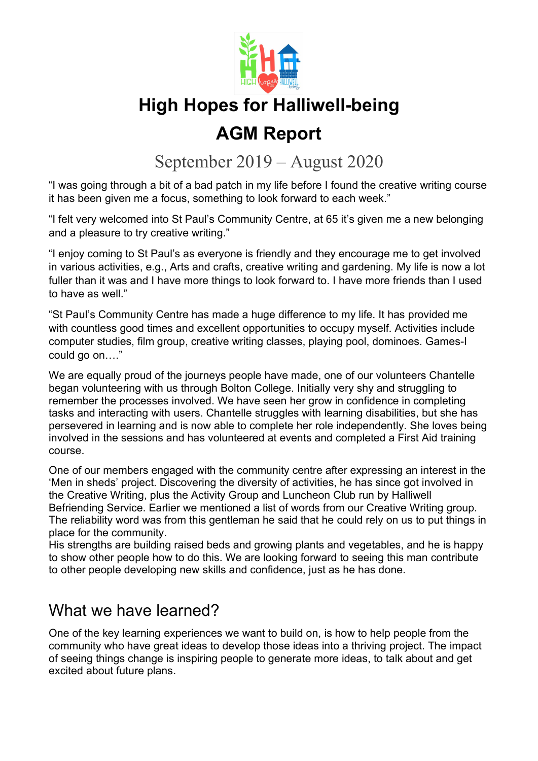

## AGM Report

September 2019 – August 2020

"I was going through a bit of a bad patch in my life before I found the creative writing course it has been given me a focus, something to look forward to each week."

"I felt very welcomed into St Paul's Community Centre, at 65 it's given me a new belonging and a pleasure to try creative writing."

"I enjoy coming to St Paul's as everyone is friendly and they encourage me to get involved in various activities, e.g., Arts and crafts, creative writing and gardening. My life is now a lot fuller than it was and I have more things to look forward to. I have more friends than I used to have as well."

"St Paul's Community Centre has made a huge difference to my life. It has provided me with countless good times and excellent opportunities to occupy myself. Activities include computer studies, film group, creative writing classes, playing pool, dominoes. Games-I could go on…."

We are equally proud of the journeys people have made, one of our volunteers Chantelle began volunteering with us through Bolton College. Initially very shy and struggling to remember the processes involved. We have seen her grow in confidence in completing tasks and interacting with users. Chantelle struggles with learning disabilities, but she has persevered in learning and is now able to complete her role independently. She loves being involved in the sessions and has volunteered at events and completed a First Aid training course.

One of our members engaged with the community centre after expressing an interest in the 'Men in sheds' project. Discovering the diversity of activities, he has since got involved in the Creative Writing, plus the Activity Group and Luncheon Club run by Halliwell Befriending Service. Earlier we mentioned a list of words from our Creative Writing group. The reliability word was from this gentleman he said that he could rely on us to put things in place for the community.

His strengths are building raised beds and growing plants and vegetables, and he is happy to show other people how to do this. We are looking forward to seeing this man contribute to other people developing new skills and confidence, just as he has done.

### What we have learned?

One of the key learning experiences we want to build on, is how to help people from the community who have great ideas to develop those ideas into a thriving project. The impact of seeing things change is inspiring people to generate more ideas, to talk about and get excited about future plans.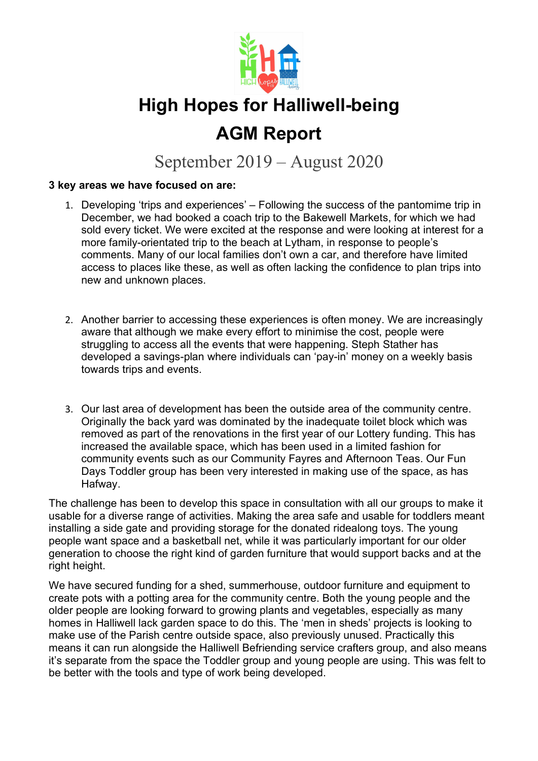

## AGM Report

September 2019 – August 2020

#### 3 key areas we have focused on are:

- 1. Developing 'trips and experiences' Following the success of the pantomime trip in December, we had booked a coach trip to the Bakewell Markets, for which we had sold every ticket. We were excited at the response and were looking at interest for a more family-orientated trip to the beach at Lytham, in response to people's comments. Many of our local families don't own a car, and therefore have limited access to places like these, as well as often lacking the confidence to plan trips into new and unknown places.
- 2. Another barrier to accessing these experiences is often money. We are increasingly aware that although we make every effort to minimise the cost, people were struggling to access all the events that were happening. Steph Stather has developed a savings-plan where individuals can 'pay-in' money on a weekly basis towards trips and events.
- 3. Our last area of development has been the outside area of the community centre. Originally the back yard was dominated by the inadequate toilet block which was removed as part of the renovations in the first year of our Lottery funding. This has increased the available space, which has been used in a limited fashion for community events such as our Community Fayres and Afternoon Teas. Our Fun Days Toddler group has been very interested in making use of the space, as has Hafway.

The challenge has been to develop this space in consultation with all our groups to make it usable for a diverse range of activities. Making the area safe and usable for toddlers meant installing a side gate and providing storage for the donated ridealong toys. The young people want space and a basketball net, while it was particularly important for our older generation to choose the right kind of garden furniture that would support backs and at the right height.

We have secured funding for a shed, summerhouse, outdoor furniture and equipment to create pots with a potting area for the community centre. Both the young people and the older people are looking forward to growing plants and vegetables, especially as many homes in Halliwell lack garden space to do this. The 'men in sheds' projects is looking to make use of the Parish centre outside space, also previously unused. Practically this means it can run alongside the Halliwell Befriending service crafters group, and also means it's separate from the space the Toddler group and young people are using. This was felt to be better with the tools and type of work being developed.